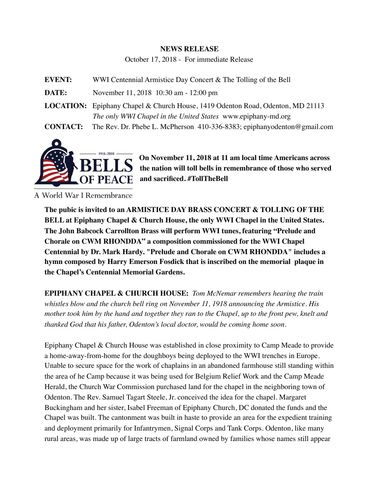## **NEWS RELEASE**

October 17, 2018 - For immediate Release

**EVENT:** WWI Centennial Armistice Day Concert & The Tolling of the Bell **DATE:** November 11, 2018 10:30 am - 12:00 pm **LOCATION:** Epiphany Chapel & Church House, 1419 Odenton Road, Odenton, MD 21113 *The only WWI Chapel in the United States* www.epiphany-md.org **CONTACT:** The Rev. Dr. Phebe L. McPherson 410-336-8383; [epiphanyodenton@gmail.com](mailto:epiphanyodenton@gmail.com)



**On November 11, 2018 at 11 am local time Americans across the nation will toll bells in remembrance of those who served and sacrificed. #TollTheBell**

A World War I Remembrance

**The pubic is invited to an ARMISTICE DAY BRASS CONCERT & TOLLING OF THE BELL at Epiphany Chapel & Church House, the only WWI Chapel in the United States. The John Babcock Carrollton Brass will perform WWI tunes, featuring "Prelude and Chorale on CWM RHONDDA" a composition commissioned for the WWI Chapel Centennial by Dr. Mark Hardy. "Prelude and Chorale on CWM RHONDDA" includes a hymn composed by Harry Emerson Fosdick that is inscribed on the memorial plaque in the Chapel's Centennial Memorial Gardens.** 

**EPIPHANY CHAPEL & CHURCH HOUSE:** *Tom McNemar remembers hearing the train whistles blow and the church bell ring on November 11, 1918 announcing the Armistice. His mother took him by the hand and together they ran to the Chapel, up to the front pew, knelt and thanked God that his father, Odenton's local doctor, would be coming home soon.* 

Epiphany Chapel & Church House was established in close proximity to Camp Meade to provide a home-away-from-home for the doughboys being deployed to the WWI trenches in Europe. Unable to secure space for the work of chaplains in an abandoned farmhouse still standing within the area of he Camp because it was being used for Belgium Relief Work and the Camp Meade Herald, the Church War Commission purchased land for the chapel in the neighboring town of Odenton. The Rev. Samuel Tagart Steele, Jr. conceived the idea for the chapel. Margaret Buckingham and her sister, Isabel Freeman of Epiphany Church, DC donated the funds and the Chapel was built. The cantonment was built in haste to provide an area for the expedient training and deployment primarily for Infantrymen, Signal Corps and Tank Corps. Odenton, like many rural areas, was made up of large tracts of farmland owned by families whose names still appear